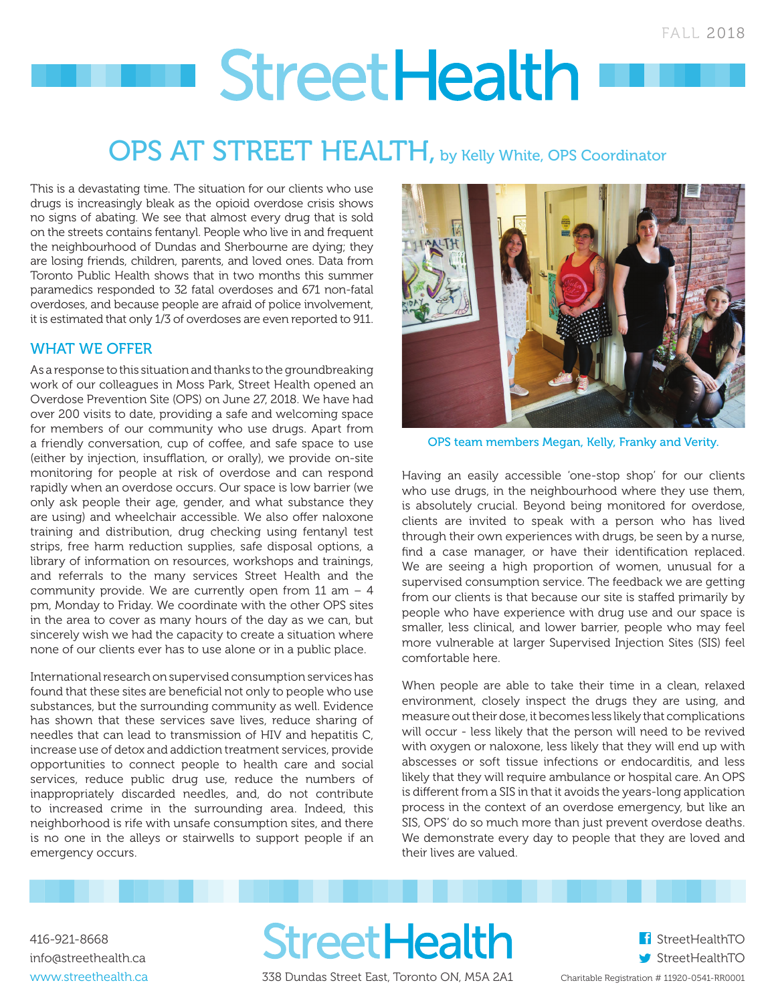# **StreetHealth**

## OPS AT STREET HEALTH, by Kelly White, OPS Coordinator

This is a devastating time. The situation for our clients who use drugs is increasingly bleak as the opioid overdose crisis shows no signs of abating. We see that almost every drug that is sold on the streets contains fentanyl. People who live in and frequent the neighbourhood of Dundas and Sherbourne are dying; they are losing friends, children, parents, and loved ones. Data from Toronto Public Health shows that in two months this summer paramedics responded to 32 fatal overdoses and 671 non-fatal overdoses, and because people are afraid of police involvement, it is estimated that only 1/3 of overdoses are even reported to 911.

#### WHAT WE OFFER

As a response to this situation and thanks to the groundbreaking work of our colleagues in Moss Park, Street Health opened an Overdose Prevention Site (OPS) on June 27, 2018. We have had over 200 visits to date, providing a safe and welcoming space for members of our community who use drugs. Apart from a friendly conversation, cup of coffee, and safe space to use (either by injection, insufflation, or orally), we provide on-site monitoring for people at risk of overdose and can respond rapidly when an overdose occurs. Our space is low barrier (we only ask people their age, gender, and what substance they are using) and wheelchair accessible. We also offer naloxone training and distribution, drug checking using fentanyl test strips, free harm reduction supplies, safe disposal options, a library of information on resources, workshops and trainings, and referrals to the many services Street Health and the community provide. We are currently open from  $11$  am  $-4$ pm, Monday to Friday. We coordinate with the other OPS sites in the area to cover as many hours of the day as we can, but sincerely wish we had the capacity to create a situation where none of our clients ever has to use alone or in a public place.

International research on supervised consumption services has found that these sites are beneficial not only to people who use substances, but the surrounding community as well. Evidence has shown that these services save lives, reduce sharing of needles that can lead to transmission of HIV and hepatitis C, increase use of detox and addiction treatment services, provide opportunities to connect people to health care and social services, reduce public drug use, reduce the numbers of inappropriately discarded needles, and, do not contribute to increased crime in the surrounding area. Indeed, this neighborhood is rife with unsafe consumption sites, and there is no one in the alleys or stairwells to support people if an emergency occurs.



OPS team members Megan, Kelly, Franky and Verity.

Having an easily accessible 'one-stop shop' for our clients who use drugs, in the neighbourhood where they use them, is absolutely crucial. Beyond being monitored for overdose, clients are invited to speak with a person who has lived through their own experiences with drugs, be seen by a nurse, find a case manager, or have their identification replaced. We are seeing a high proportion of women, unusual for a supervised consumption service. The feedback we are getting from our clients is that because our site is staffed primarily by people who have experience with drug use and our space is smaller, less clinical, and lower barrier, people who may feel more vulnerable at larger Supervised Injection Sites (SIS) feel comfortable here.

When people are able to take their time in a clean, relaxed environment, closely inspect the drugs they are using, and measure out their dose, it becomes less likely that complications will occur - less likely that the person will need to be revived with oxygen or naloxone, less likely that they will end up with abscesses or soft tissue infections or endocarditis, and less likely that they will require ambulance or hospital care. An OPS is different from a SIS in that it avoids the years-long application process in the context of an overdose emergency, but like an SIS, OPS' do so much more than just prevent overdose deaths. We demonstrate every day to people that they are loved and their lives are valued.

416-921-8668 info@streethealth.ca www.streethealth.ca **StreetHealth** 338 Dundas Street East, Toronto ON, M5A 2A1

f StreetHealthTO StreetHealthTO Charitable Registration # 11920-0541-RR0001